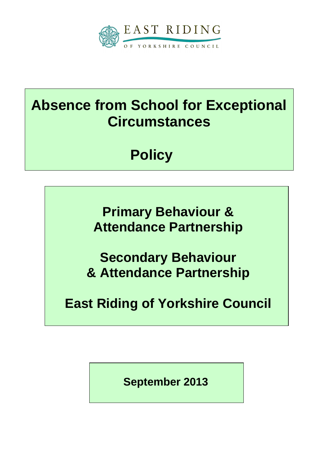

# **Absence from School for Exceptional Circumstances**

**Policy**

**Primary Behaviour & Attendance Partnership**

**Secondary Behaviour & Attendance Partnership**

**East Riding of Yorkshire Council**

**September 2013**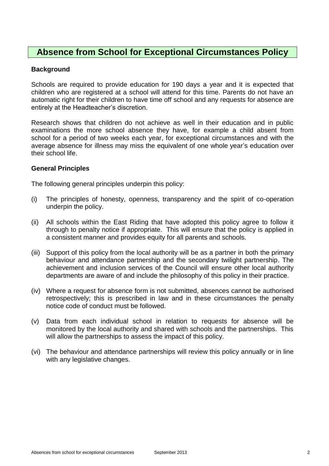# **Absence from School for Exceptional Circumstances Policy**

## **Background**

Schools are required to provide education for 190 days a year and it is expected that children who are registered at a school will attend for this time. Parents do not have an automatic right for their children to have time off school and any requests for absence are entirely at the Headteacher's discretion.

Research shows that children do not achieve as well in their education and in public examinations the more school absence they have, for example a child absent from school for a period of two weeks each year, for exceptional circumstances and with the average absence for illness may miss the equivalent of one whole year's education over their school life.

#### **General Principles**

The following general principles underpin this policy:

- (i) The principles of honesty, openness, transparency and the spirit of co-operation underpin the policy.
- (ii) All schools within the East Riding that have adopted this policy agree to follow it through to penalty notice if appropriate. This will ensure that the policy is applied in a consistent manner and provides equity for all parents and schools.
- (iii) Support of this policy from the local authority will be as a partner in both the primary behaviour and attendance partnership and the secondary twilight partnership. The achievement and inclusion services of the Council will ensure other local authority departments are aware of and include the philosophy of this policy in their practice.
- (iv) Where a request for absence form is not submitted, absences cannot be authorised retrospectively; this is prescribed in law and in these circumstances the penalty notice code of conduct must be followed.
- (v) Data from each individual school in relation to requests for absence will be monitored by the local authority and shared with schools and the partnerships. This will allow the partnerships to assess the impact of this policy.
- (vi) The behaviour and attendance partnerships will review this policy annually or in line with any legislative changes.